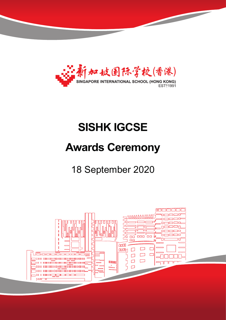

# **SISHK IGCSE**

# **Awards Ceremony**

18 September 2020

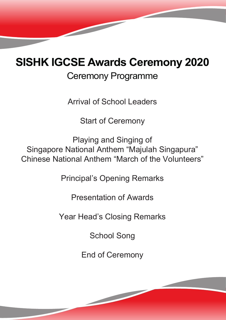# **SISHK IGCSE Awards Ceremony 2020**

# Ceremony Programme

Arrival of School Leaders

Start of Ceremony

Playing and Singing of Singapore National Anthem "Majulah Singapura" Chinese National Anthem "March of the Volunteers"

Principal's Opening Remarks

Presentation of Awards

Year Head's Closing Remarks

School Song

End of Ceremony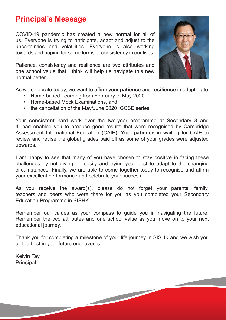#### **Principal's Message**

COVID-19 pandemic has created a new normal for all of us. Everyone is trying to anticipate, adapt and adjust to the uncertainties and volatilities. Everyone is also working towards and hoping for some forms of consistency in our lives.

Patience, consistency and resilience are two attributes and one school value that I think will help us navigate this new normal better.



As we celebrate today, we want to affirm your **patience** and **resilience** in adapting to

- Home-based Learning from February to May 2020,
- Home-based Mock Examinations, and
- the cancellation of the May/June 2020 IGCSE series.

Your **consistent** hard work over the two-year programme at Secondary 3 and 4, had enabled you to produce good results that were recognised by Cambridge Assessment International Education (CAIE). Your **patience** in waiting for CAIE to review and revise the global grades paid off as some of your grades were adjusted upwards.

I am happy to see that many of you have chosen to stay positive in facing these challenges by not giving up easily and trying your best to adapt to the changing circumstances. Finally, we are able to come together today to recognise and affirm your excellent performance and celebrate your success.

As you receive the award(s), please do not forget your parents, family, teachers and peers who were there for you as you completed your Secondary Education Programme in SISHK.

Remember our values as your compass to guide you in navigating the future. Remember the two attributes and one school value as you move on to your next educational journey.

Thank you for completing a milestone of your life journey in SISHK and we wish you all the best in your future endeavours.

Kelvin Tay **Principal**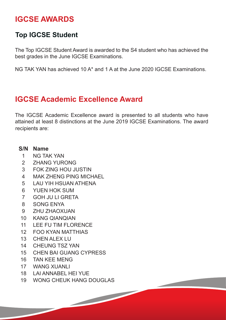### **IGCSE AWARDS**

#### **Top IGCSE Student**

The Top IGCSE Student Award is awarded to the S4 student who has achieved the best grades in the June IGCSE Examinations.

NG TAK YAN has achieved 10 A\* and 1 A at the June 2020 IGCSE Examinations.

### **IGCSE Academic Excellence Award**

The IGCSE Academic Excellence award is presented to all students who have attained at least 8 distinctions at the June 2019 IGCSE Examinations. The award recipients are:

#### **S/N Name**

- NG TAK YAN
- ZHANG YURONG
- FOK ZING HOU JUSTIN
- MAK ZHENG PING MICHAEL
- LAU YIH HSUAN ATHENA
- YUEN HOK SUM
- GOH JU LI GRETA
- SONG ENYA
- ZHU ZHAOXUAN
- KANG QIANQIAN
- LEE FU TIM FLORENCE
- FOO KYAN MATTHIAS
- CHEN ALEX LU
- CHEUNG TSZ YAN
- CHEN BAI GUANG CYPRESS
- TAN KEE MENG
- WANG XUANLI
- LAI ANNABEL HEI YUE
- WONG CHEUK HANG DOUGLAS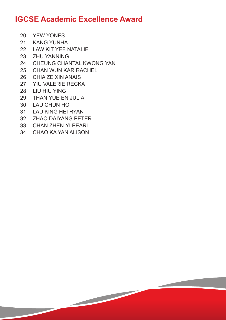#### **IGCSE Academic Excellence Award**

- YEW YONES
- KANG YUNHA
- LAW KIT YEE NATALIE
- ZHU YANNING
- CHEUNG CHANTAL KWONG YAN
- CHAN WUN KAR RACHEL
- CHIA ZE XIN ANAIS
- YIU VALERIE RECKA
- LIU HIU YING
- THAN YUE EN JULIA
- LAU CHUN HO
- LAU KING HEI RYAN
- ZHAO DAIYANG PETER
- CHAN ZHEN-YI PEARL
- CHAO KA YAN ALISON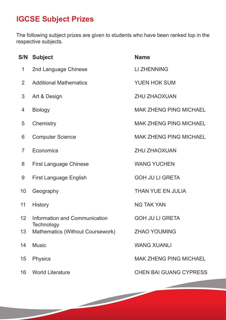## **IGCSE Subject Prizes**

The following subject prizes are given to students who have been ranked top in the respective subjects.

|                 | <b>S/N Subject</b>                          | <b>Name</b>                   |  |
|-----------------|---------------------------------------------|-------------------------------|--|
| 1               | 2nd Language Chinese                        | <b>LI ZHENNING</b>            |  |
| $\overline{2}$  | <b>Additional Mathematics</b>               | <b>YUEN HOK SUM</b>           |  |
| 3               | Art & Design                                | <b>ZHU ZHAOXUAN</b>           |  |
| 4               | <b>Biology</b>                              | <b>MAK ZHENG PING MICHAEL</b> |  |
| 5               | Chemistry                                   | <b>MAK ZHENG PING MICHAEL</b> |  |
| 6               | <b>Computer Science</b>                     | <b>MAK ZHENG PING MICHAEL</b> |  |
| $\overline{7}$  | Economics                                   | <b>ZHU ZHAOXUAN</b>           |  |
| 8               | <b>First Language Chinese</b>               | <b>WANG YUCHEN</b>            |  |
| 9               | <b>First Language English</b>               | <b>GOH JU LI GRETA</b>        |  |
| 10              | Geography                                   | THAN YUE EN JULIA             |  |
| 11              | <b>History</b>                              | <b>NG TAK YAN</b>             |  |
| 12 <sup>°</sup> | Information and Communication<br>Technology | <b>GOH JU LI GRETA</b>        |  |
| 13              | Mathematics (Without Coursework)            | <b>ZHAO YOUMING</b>           |  |
| 14              | <b>Music</b>                                | <b>WANG XUANLI</b>            |  |
| 15              | <b>Physics</b>                              | <b>MAK ZHENG PING MICHAEL</b> |  |
|                 | 16 World Literature                         | <b>CHEN BAI GUANG CYPRESS</b> |  |